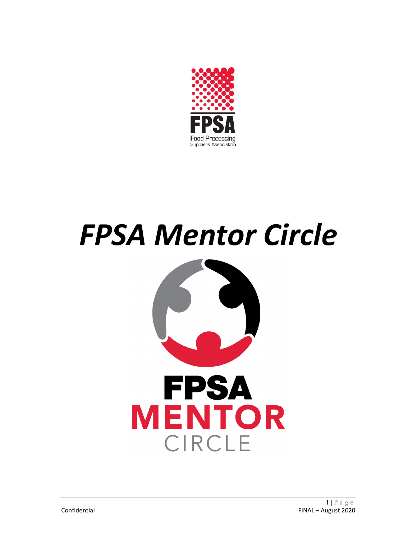

# *FPSA Mentor Circle*

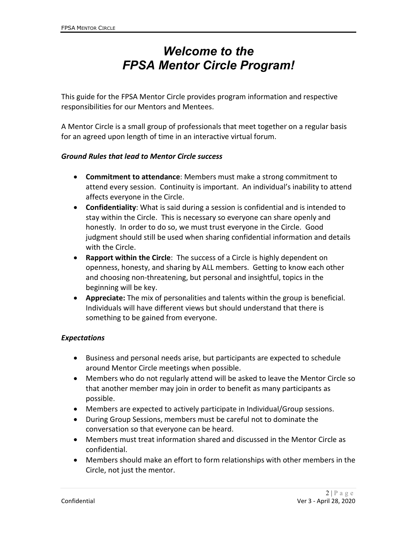# *Welcome to the FPSA Mentor Circle Program!*

This guide for the FPSA Mentor Circle provides program information and respective responsibilities for our Mentors and Mentees.

A Mentor Circle is a small group of professionals that meet together on a regular basis for an agreed upon length of time in an interactive virtual forum.

#### *Ground Rules that lead to Mentor Circle success*

- **Commitment to attendance**: Members must make a strong commitment to attend every session. Continuity is important. An individual's inability to attend affects everyone in the Circle.
- **Confidentiality**: What is said during a session is confidential and is intended to stay within the Circle. This is necessary so everyone can share openly and honestly. In order to do so, we must trust everyone in the Circle. Good judgment should still be used when sharing confidential information and details with the Circle.
- **Rapport within the Circle**: The success of a Circle is highly dependent on openness, honesty, and sharing by ALL members. Getting to know each other and choosing non-threatening, but personal and insightful, topics in the beginning will be key.
- **Appreciate:** The mix of personalities and talents within the group is beneficial. Individuals will have different views but should understand that there is something to be gained from everyone.

#### *Expectations*

- Business and personal needs arise, but participants are expected to schedule around Mentor Circle meetings when possible.
- Members who do not regularly attend will be asked to leave the Mentor Circle so that another member may join in order to benefit as many participants as possible.
- Members are expected to actively participate in Individual/Group sessions.
- During Group Sessions, members must be careful not to dominate the conversation so that everyone can be heard.
- Members must treat information shared and discussed in the Mentor Circle as confidential.
- Members should make an effort to form relationships with other members in the Circle, not just the mentor.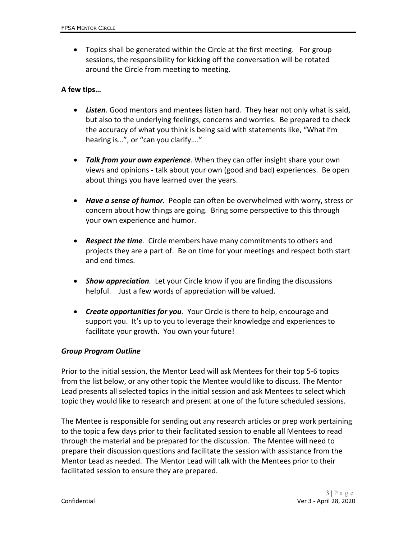• Topics shall be generated within the Circle at the first meeting. For group sessions, the responsibility for kicking off the conversation will be rotated around the Circle from meeting to meeting.

# **A few tips…**

- *Listen.* Good mentors and mentees listen hard. They hear not only what is said, but also to the underlying feelings, concerns and worries. Be prepared to check the accuracy of what you think is being said with statements like, "What I'm hearing is…", or "can you clarify…."
- *Talk from your own experience.* When they can offer insight share your own views and opinions - talk about your own (good and bad) experiences. Be open about things you have learned over the years.
- *Have a sense of humor.* People can often be overwhelmed with worry, stress or concern about how things are going. Bring some perspective to this through your own experience and humor.
- *Respect the time.* Circle members have many commitments to others and projects they are a part of. Be on time for your meetings and respect both start and end times.
- *Show appreciation.* Let your Circle know if you are finding the discussions helpful. Just a few words of appreciation will be valued.
- *Create opportunities for you.* Your Circle is there to help, encourage and support you. It's up to you to leverage their knowledge and experiences to facilitate your growth. You own your future!

#### *Group Program Outline*

Prior to the initial session, the Mentor Lead will ask Mentees for their top 5-6 topics from the list below, or any other topic the Mentee would like to discuss. The Mentor Lead presents all selected topics in the initial session and ask Mentees to select which topic they would like to research and present at one of the future scheduled sessions.

The Mentee is responsible for sending out any research articles or prep work pertaining to the topic a few days prior to their facilitated session to enable all Mentees to read through the material and be prepared for the discussion. The Mentee will need to prepare their discussion questions and facilitate the session with assistance from the Mentor Lead as needed. The Mentor Lead will talk with the Mentees prior to their facilitated session to ensure they are prepared.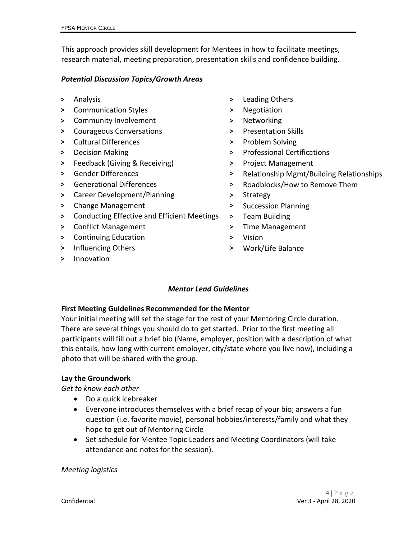This approach provides skill development for Mentees in how to facilitate meetings, research material, meeting preparation, presentation skills and confidence building.

## *Potential Discussion Topics/Growth Areas*

- 
- **>** Communication Styles **>** Negotiation
- **>** Community Involvement **>** Networking
- > Courageous Conversations **by Series 2018** > Presentation Skills
- **>** Cultural Differences **>** Problem Solving
- 
- **>** Feedback (Giving & Receiving) **>** Project Management
- 
- 
- **>** Career Development/Planning **>** Strategy
- **>** Change Management **>** Succession Planning
- **>** Conducting Effective and Efficient Meetings **>** Team Building
- **>** Conflict Management **>** Time Management
- **>** Continuing Education **>** Vision
- **>** Influencing Others **>** Work/Life Balance
- **>** Innovation
- **>** Analysis **>** Leading Others
	-
	-
	-
	-
- **>** Decision Making **>** Professional Certifications
	-
- **>** Gender Differences **>** Relationship Mgmt/Building Relationships
- **>** Generational Differences **>** Roadblocks/How to Remove Them
	-
	-
	-
	-
	-
	-

# *Mentor Lead Guidelines*

# **First Meeting Guidelines Recommended for the Mentor**

Your initial meeting will set the stage for the rest of your Mentoring Circle duration. There are several things you should do to get started. Prior to the first meeting all participants will fill out a brief bio (Name, employer, position with a description of what this entails, how long with current employer, city/state where you live now), including a photo that will be shared with the group.

# **Lay the Groundwork**

*Get to know each other*

- Do a quick icebreaker
- Everyone introduces themselves with a brief recap of your bio; answers a fun question (i.e. favorite movie), personal hobbies/interests/family and what they hope to get out of Mentoring Circle
- Set schedule for Mentee Topic Leaders and Meeting Coordinators (will take attendance and notes for the session).

*Meeting logistics*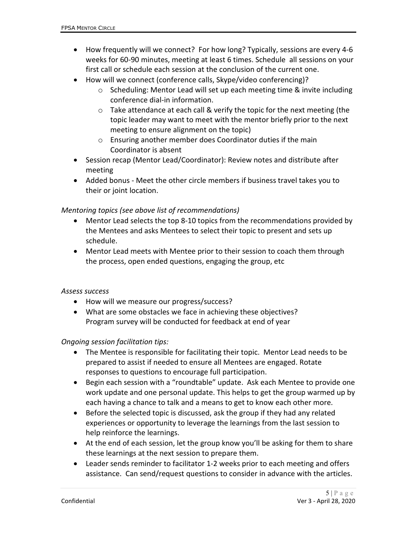- How frequently will we connect? For how long? Typically, sessions are every 4-6 weeks for 60-90 minutes, meeting at least 6 times. Schedule all sessions on your first call or schedule each session at the conclusion of the current one.
- How will we connect (conference calls, Skype/video conferencing)?
	- o Scheduling: Mentor Lead will set up each meeting time & invite including conference dial-in information.
	- o Take attendance at each call & verify the topic for the next meeting (the topic leader may want to meet with the mentor briefly prior to the next meeting to ensure alignment on the topic)
	- o Ensuring another member does Coordinator duties if the main Coordinator is absent
- Session recap (Mentor Lead/Coordinator): Review notes and distribute after meeting
- Added bonus Meet the other circle members if business travel takes you to their or joint location.

# *Mentoring topics (see above list of recommendations)*

- Mentor Lead selects the top 8-10 topics from the recommendations provided by the Mentees and asks Mentees to select their topic to present and sets up schedule.
- Mentor Lead meets with Mentee prior to their session to coach them through the process, open ended questions, engaging the group, etc

#### *Assess success*

- How will we measure our progress/success?
- What are some obstacles we face in achieving these objectives? Program survey will be conducted for feedback at end of year

#### *Ongoing session facilitation tips:*

- The Mentee is responsible for facilitating their topic. Mentor Lead needs to be prepared to assist if needed to ensure all Mentees are engaged. Rotate responses to questions to encourage full participation.
- Begin each session with a "roundtable" update. Ask each Mentee to provide one work update and one personal update. This helps to get the group warmed up by each having a chance to talk and a means to get to know each other more.
- Before the selected topic is discussed, ask the group if they had any related experiences or opportunity to leverage the learnings from the last session to help reinforce the learnings.
- At the end of each session, let the group know you'll be asking for them to share these learnings at the next session to prepare them.
- Leader sends reminder to facilitator 1-2 weeks prior to each meeting and offers assistance. Can send/request questions to consider in advance with the articles.